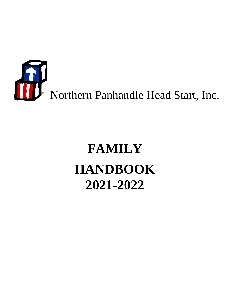

# **FAMILY HANDBOOK 2021-2022**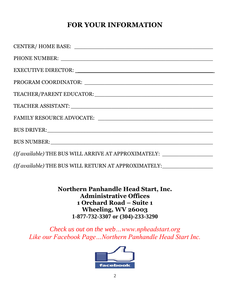# **FOR YOUR INFORMATION**

| CENTER/HOME BASE:                                                                |
|----------------------------------------------------------------------------------|
|                                                                                  |
|                                                                                  |
|                                                                                  |
|                                                                                  |
|                                                                                  |
|                                                                                  |
|                                                                                  |
|                                                                                  |
| (If available) THE BUS WILL ARRIVE AT APPROXIMATELY: ___________________________ |
| (If available) THE BUS WILL RETURN AT APPROXIMATELY:                             |

**Northern Panhandle Head Start, Inc. Administrative Offices 1 Orchard Road – Suite 1 Wheeling, WV 26003 1-877-732-3307 or (304)-233-3290**

*Check us out on the web…www.npheadstart.org Like our Facebook Page…Northern Panhandle Head Start Inc.*

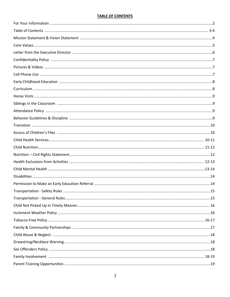#### **TABLE OF CONTENTS**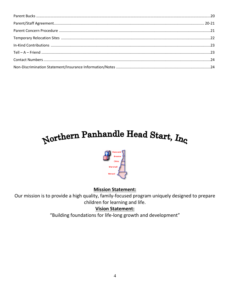# Northern Panhandle Head Start, Inc.



# **Mission Statement:**

Our mission is to provide a high quality, family-focused program uniquely designed to prepare children for learning and life.

# **Vision Statement:**

"Building foundations for life-long growth and development"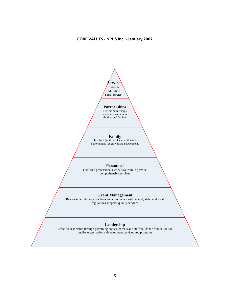#### **CORE VALUES - NPHS Inc. - January 2007**



#### **Partnerships**

Diverse partnerships maximize services to children and families

#### **Family**

וו<br>י opportunities for growth and development Involved families enhance children's

#### **Personnel**

al

 Qualified professionals work as a team to provide comprehensive services

#### ▪Edu **Grant Management**

Responsible fiduciary practices and compliance with federal, state, and local regulations supports quality services

# Servi Leadership

Effective leadership through governing bodies, parents and staff builds the foundation for quality organizational development services and programs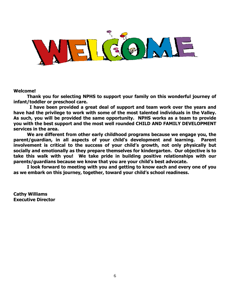

#### **Welcome!**

**Thank you for selecting NPHS to support your family on this wonderful journey of infant/toddler or preschool care.** 

 **I have been provided a great deal of support and team work over the years and have had the privilege to work with some of the most talented individuals in the Valley. As such, you will be provided the same opportunity. NPHS works as a team to provide you with the best support and the most well rounded CHILD AND FAMILY DEVELOPMENT services in the area.**

**We are different from other early childhood programs because we engage you, the parent/guardian, in all aspects of your child's development and learning. Parent involvement is critical to the success of your child's growth, not only physically but socially and emotionally as they prepare themselves for kindergarten. Our objective is to take this walk with you! We take pride in building positive relationships with our parents/guardians because we know that you are your child's best advocate.**

**I look forward to meeting with you and getting to know each and every one of you as we embark on this journey, together, toward your child's school readiness.** 

**Cathy Williams Executive Director**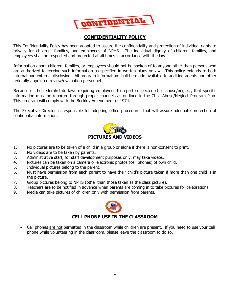

# **CONFIDENTIALITY POLICY**

This Confidentiality Policy has been adopted to assure the confidentiality and protection of individual rights to privacy for children, families, and employees of NPHS. The individual dignity of children, families, and employees shall be respected and protected at all times in accordance with the law.

Information about children, families, or employees should not be spoken of to anyone other than persons who are authorized to receive such information as specified in written plans or law. This policy extends to both internal and external disclosing. All program information shall be made available to auditing agents and other federally appointed review/evaluation personnel.

Because of the federal/state laws requiring employees to report suspected child abuse/neglect, that specific information must be reported through proper channels as outlined in the Child Abuse/Neglect Program Plan. This program will comply with the Buckley Amendment of 1974.

The Executive Director is responsible for adopting office procedures that will assure adequate protection of confidential information.



- 1. No pictures are to be taken of a child in a group or alone if there is non-consent to print.
- 2. No videos are to be taken by parents.
- 3. Administrative staff, for staff development purposes only, may take videos.
- 4. Pictures can be taken on a camera or electronic photos (cell phones) of own child.
- 5. Individual pictures belong to the parent.
- 6. Must have permission from each parent to have their child's picture taken if more than one child is in the picture.
- 7. Group pictures belong to NPHS (other than those taken as the class picture).
- 8. Teachers are to be notified in advance when parents are coming in to take pictures for celebrations.
- 9. Media can take pictures of children only with permission from parents.



• Cell phones are not permitted in the classroom while children are present. If you need to use your cell phone while volunteering in the classroom, please leave the classroom to do so.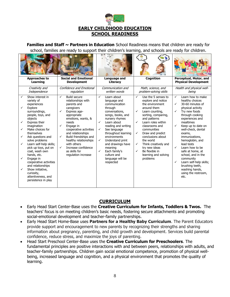

**Families and Staff ~ Partners in Education** School Readiness means that children are ready for school, families are ready to support their children's learning, and schools are ready for children.

| <b>Approaches to</b>                                                                                                                                                                                                                                                                                                                                                                                                                                                                                  | <b>Social and Emotional</b>                                                                                                                                                                                                                                                                                                                                                     | Language and                                                                                                                                                                                                                                                                                                                                                                      | Cognition                                                                                                                                                                                                                                                                                                                                                                                             | Perceptual, Motor, and                                                                                                                                                                                                                                                                                                                                                                                                                                                                                        |
|-------------------------------------------------------------------------------------------------------------------------------------------------------------------------------------------------------------------------------------------------------------------------------------------------------------------------------------------------------------------------------------------------------------------------------------------------------------------------------------------------------|---------------------------------------------------------------------------------------------------------------------------------------------------------------------------------------------------------------------------------------------------------------------------------------------------------------------------------------------------------------------------------|-----------------------------------------------------------------------------------------------------------------------------------------------------------------------------------------------------------------------------------------------------------------------------------------------------------------------------------------------------------------------------------|-------------------------------------------------------------------------------------------------------------------------------------------------------------------------------------------------------------------------------------------------------------------------------------------------------------------------------------------------------------------------------------------------------|---------------------------------------------------------------------------------------------------------------------------------------------------------------------------------------------------------------------------------------------------------------------------------------------------------------------------------------------------------------------------------------------------------------------------------------------------------------------------------------------------------------|
| Learning                                                                                                                                                                                                                                                                                                                                                                                                                                                                                              | <b>Development</b>                                                                                                                                                                                                                                                                                                                                                              | Literacy                                                                                                                                                                                                                                                                                                                                                                          |                                                                                                                                                                                                                                                                                                                                                                                                       | <b>Physical Development</b>                                                                                                                                                                                                                                                                                                                                                                                                                                                                                   |
| Creativity and                                                                                                                                                                                                                                                                                                                                                                                                                                                                                        | Confidence and Emotional                                                                                                                                                                                                                                                                                                                                                        | Communication and                                                                                                                                                                                                                                                                                                                                                                 | Math, science, and                                                                                                                                                                                                                                                                                                                                                                                    | Health and physical well-                                                                                                                                                                                                                                                                                                                                                                                                                                                                                     |
| Independence                                                                                                                                                                                                                                                                                                                                                                                                                                                                                          | regulation                                                                                                                                                                                                                                                                                                                                                                      | written words                                                                                                                                                                                                                                                                                                                                                                     | problem-solving skills                                                                                                                                                                                                                                                                                                                                                                                | being                                                                                                                                                                                                                                                                                                                                                                                                                                                                                                         |
| Show interest in<br>$\checkmark$<br>variety of<br>experiences<br>Explore<br>surroundings,<br>people, toys, and<br>objects<br>Express their<br>✓<br>imagination<br>Make choices for<br>✓<br>themselves<br>Ask questions and<br>✓<br>solve problems<br>Learn self-help skills;<br>✓<br>pick up toys, put on<br>coat, wash own<br>hands, etc.<br>Engage in<br>cooperative activities<br>and relationships<br>Show initiative,<br>$\checkmark$<br>curiosity,<br>attentiveness, and<br>persistence in play | <b>Build secure</b><br>$\checkmark$<br>relationships with<br>parents and<br>caregivers<br>✓<br>Express age-<br>appropriate<br>emotions, wants, &<br>needs<br>✓<br>Engage in<br>cooperative activities<br>and relationships<br>$\checkmark$<br>Build friendships and<br>healthy relationships<br>with others<br>Increase confidence<br>✓<br>as skills for<br>regulation increase | Learn about<br>✓<br>language and<br>communication<br>through<br>conversations,<br>songs, books, and<br>nursery rhymes<br>Learn about<br>✓<br>reading and writing<br>$\checkmark$<br>See language<br>throughout learning<br>environments<br>Understand print<br>✓<br>and drawings have<br>meaning<br>$\checkmark$<br>Each family's<br>culture and<br>language will be<br>respected | $\checkmark$<br>Use the 5 senses to<br>explore and notice<br>the environment<br>around them<br>✓<br>Learn counting,<br>sorting, comparing,<br>and patterns<br>Learn roles within<br>✓<br>classrooms and<br>communities<br>Draw and predict<br>$\checkmark$<br>conclusions about<br>the world<br>Think creatively and<br>✓<br>try new ideas<br>Be flexible in<br>✓<br>learning and solving<br>problems | $\checkmark$<br>Learn how to make<br>healthy choices<br>30-60 minutes of<br>$\checkmark$<br>physical activity<br>✓<br>Try new foods<br>through cooking<br>experiences and<br>mealtimes<br>✓<br>Keep up to date on<br>well-check, dental<br>exams.<br>immunizations,<br>hemoglobin, and<br>lead tests<br>$\checkmark$<br>Learn how to be<br>safe at home, at<br>school, and in the<br>community<br>$\checkmark$<br>Learn self-help skills;<br>brushing teeth,<br>washing hands,<br>using the restroom,<br>etc. |
|                                                                                                                                                                                                                                                                                                                                                                                                                                                                                                       |                                                                                                                                                                                                                                                                                                                                                                                 |                                                                                                                                                                                                                                                                                                                                                                                   |                                                                                                                                                                                                                                                                                                                                                                                                       |                                                                                                                                                                                                                                                                                                                                                                                                                                                                                                               |

## **CURRICULUM**

- Early Head Start Center-Base uses the **Creative Curriculum for Infants, Toddlers & Twos.** The teachers' focus is on meeting children's basic needs, fostering secure attachments and promoting social-emotional development and teacher-family partnerships.
- Early Head Start Home-Base uses **Partners for a Healthy Baby Curriculum**. The Parent Educators provide support and encouragement to new parents by recognizing their strengths and sharing information about pregnancy, parenting, and child growth and development. Services build parental confidence, reduce stress, and maximize the joys of parenting.
- Head Start Preschool Center-Base uses the **Creative Curriculum for Preschoolers**. The fundamental principles are positive interactions with and between peers, relationships with adults, and teacher-family partnerships. Children gain social emotional competence, promotion of physical wellbeing, increased language and cognition, and a physical environment that promotes the quality of learning.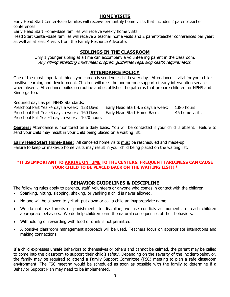# **HOME VISITS**

Early Head Start Center-Base families will receive bi-monthly home visits that includes 2 parent/teacher conferences.

Early Head Start Home-Base families will receive weekly home visits.

Head Start Center-Base families will receive 2 teacher home visits and 2 parent/teacher conferences per year; as well as at least 4 visits from the Family Resource Advocate.

# **SIBLINGS IN THE CLASSROOM**

Only 1 younger sibling at a time can accompany a volunteering parent in the classroom. Any sibling attending must meet program guidelines regarding health requirements.

# **ATTENDANCE POLICY**

One of the most important things you can do is send your child every day. Attendance is vital for your child's positive learning and development. Children will miss the one-on-one support of early intervention services when absent. Attendance builds on routine and establishes the patterns that prepare children for NPHS and Kindergarten.

Required days as per NPHS Standards:

Preschool Part Year-4 days a week: 128 Days Early Head Start 4/5 days a week: 1380 hours Preschool Part Year-5 days a week: 160 Days Early Head Start Home Base: 46 home visits Preschool Full Year-4 days a week: 1020 hours

**Centers:** Attendance is monitored on a daily basis. You will be contacted if your child is absent. Failure to send your child may result in your child being placed on a waiting list.

**Early Head Start Home-Base:** All canceled home visits must be rescheduled and made-up. Failure to keep or make-up home visits may result in your child being placed on the waiting list.

#### **\*IT IS IMPORTANT TO ARRIVE ON TIME TO THE CENTERS! FREQUENT TARDINESS CAN CAUSE YOUR CHILD TO BE PLACED BACK ON THE WAITING LIST!! \***

# **BEHAVIOR GUIDELINES & DISCIPLINE**

The following rules apply to parents, staff, volunteers or anyone who comes in contact with the children.

- Spanking, hitting, slapping, shaking, or yanking a child is never allowed.
- No one will be allowed to yell at, put down or call a child an inappropriate name.
- We do not use threats or punishments to discipline; we use conflicts as moments to teach children appropriate behaviors. We do help children learn the natural consequences of their behaviors.
- Withholding or rewarding with food or drink is not permitted.
- A positive classroom management approach will be used. Teachers focus on appropriate interactions and making connections.

If a child expresses unsafe behaviors to themselves or others and cannot be calmed, the parent may be called to come into the classroom to support their child's safety. Depending on the severity of the incident/behavior, the family may be required to attend a Family Support Committee (FSC) meeting to plan a safe classroom environment. The FSC meeting would be scheduled as soon as possible with the family to determine if a Behavior Support Plan may need to be implemented.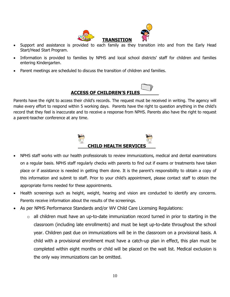

- Support and assistance is provided to each family as they transition into and from the Early Head Start/Head Start Program.
- Information is provided to families by NPHS and local school districts' staff for children and families entering Kindergarten.
- Parent meetings are scheduled to discuss the transition of children and families.



Parents have the right to access their child's records. The request must be received in writing. The agency will make every effort to respond within 5 working days. Parents have the right to question anything in the child's record that they feel is inaccurate and to receive a response from NPHS. Parents also have the right to request a parent-teacher conference at any time.



- NPHS staff works with our health professionals to review immunizations, medical and dental examinations on a regular basis. NPHS staff regularly checks with parents to find out if exams or treatments have taken place or if assistance is needed in getting them done. It is the parent's responsibility to obtain a copy of this information and submit to staff. Prior to your child's appointment, please contact staff to obtain the appropriate forms needed for these appointments.
- Health screenings such as height, weight, hearing and vision are conducted to identify any concerns. Parents receive information about the results of the screenings.
- As per NPHS Performance Standards and/or WV Child Care Licensing Regulations:
	- $\circ$  all children must have an up-to-date immunization record turned in prior to starting in the classroom (including late enrollments) and must be kept up-to-date throughout the school year. Children past due on immunizations will be in the classroom on a provisional basis. A child with a provisional enrollment must have a catch-up plan in effect, this plan must be completed within eight months or child will be placed on the wait list. Medical exclusion is the only way immunizations can be omitted.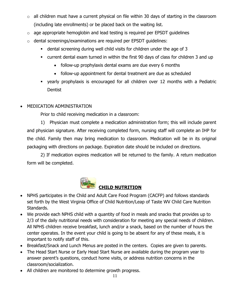- $\circ$  all children must have a current physical on file within 30 days of starting in the classroom (including late enrollments) or be placed back on the waiting list.
- o age appropriate hemoglobin and lead testing is required per EPSDT guidelines
- o dental screenings/examinations are required per EPSDT guidelines:
	- **•** dental screening during well child visits for children under the age of 3
	- current dental exam turned in within the first 90 days of class for children 3 and up
		- follow-up prophylaxis dental exams are due every 6 months
		- follow-up appointment for dental treatment are due as scheduled
	- yearly prophylaxis is encouraged for all children over 12 months with a Pediatric **Dentist**
- MEDICATION ADMINISTRATION

Prior to child receiving medication in a classroom:

1) Physician must complete a medication administration form; this will include parent and physician signature. After receiving completed form, nursing staff will complete an IHP for the child. Family then may bring medication to classroom. Medication will be in its original packaging with directions on package. Expiration date should be included on directions.

2) If medication expires medication will be returned to the family. A return medication form will be completed.



- NPHS participates in the Child and Adult Care Food Program (CACFP) and follows standards set forth by the West Virginia Office of Child Nutrition/Leap of Taste WV Child Care Nutrition Standards.
- We provide each NPHS child with a quantity of food in meals and snacks that provides up to 2/3 of the daily nutritional needs with consideration for meeting any special needs of children. All NPHS children receive breakfast, lunch and/or a snack, based on the number of hours the center operates. In the event your child is going to be absent for any of these meals, it is important to notify staff of this.
- Breakfast/Snack and Lunch Menus are posted in the centers. Copies are given to parents.
- The Head Start Nurse or Early Head Start Nurse are available during the program year to answer parent's questions, conduct home visits, or address nutrition concerns in the classroom/socialization.
- All children are monitored to determine growth progress.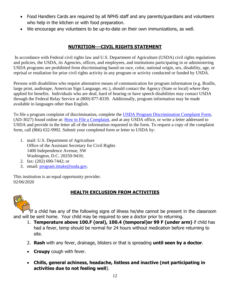- Food Handlers Cards are required by all NPHS staff and any parents/guardians and volunteers who help in the kitchen or with food preparation.
- We encourage any volunteers to be up-to-date on their own immunizations, as well.

# **NUTRITION---CIVIL RIGHTS STATEMENT**

In accordance with Federal civil rights law and U.S. Department of Agriculture (USDA) civil rights regulations and policies, the USDA, its Agencies, offices, and employees, and institutions participating in or administering USDA programs are prohibited from discriminating based on race, color, national origin, sex, disability, age, or reprisal or retaliation for prior civil rights activity in any program or activity conducted or funded by USDA.

Persons with disabilities who require alternative means of communication for program information (e.g. Braille, large print, audiotape, American Sign Language, etc.), should contact the Agency (State or local) where they applied for benefits. Individuals who are deaf, hard of hearing or have speech disabilities may contact USDA through the Federal Relay Service at (800) 877-8339. Additionally, program information may be made available in languages other than English.

To file a program complaint of discrimination, complete the [USDA Program Discrimination Complaint Form,](https://www.ocio.usda.gov/sites/default/files/docs/2012/Complain_combined_6_8_12.pdf) (AD-3027) found online at: [How to File a Complaint,](https://www.ascr.usda.gov/filing-program-discrimination-complaint-usda-customer) and at any USDA office, or write a letter addressed to USDA and provide in the letter all of the information requested in the form. To request a copy of the complaint form, call (866) 632-9992. Submit your completed form or letter to USDA by:

- 1. mail: U.S. Department of Agriculture Office of the Assistant Secretary for Civil Rights 1400 Independence Avenue, SW Washington, D.C. 20250-9410;
- 2. fax: (202) 690-7442; or
- 3. email: [program.intake@usda.gov.](mailto:program.intake@usda.gov)

This institution is an equal opportunity provider. 02/06/2020



# **HEALTH EXCLUSION FROM ACTIVITIES**

<sup>1</sup>If a child has any of the following signs of illness he/she cannot be present in the classroom and will be sent home. Your child may be required to see a doctor prior to returning.

- 1. **Temperature above 100.F (oral), 100.4 (temporal)or 99 F (under arm)** if child has had a fever, temp should be normal for 24 hours without medication before returning to site.
- 2. **Rash** with any fever, drainage, blisters or that is spreading **until seen by a doctor**.
- **Croupy** cough with fever.
- **Chills, general achiness, headache, listless and inactive (not participating in activities due to not feeling well**).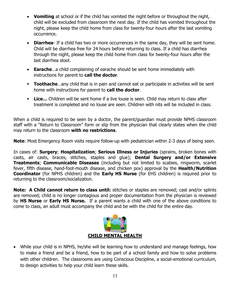- **Vomiting** at school or if the child has vomited the night before or throughout the night, child will be excluded from classroom the next day. If the child has vomited throughout the night, please keep the child home from class for twenty-four hours after the last vomiting occurrence.
- **Diarrhea** If a child has two or more occurrences in the same day, they will be sent home. Child will be diarrhea free for 24 hours before returning to class. If a child has diarrhea through the night, please keep the child home from class for twenty-four hours after the last diarrhea stool.
- **Earache**…a child complaining of earache should be sent home immediately with instructions for parent to **call the doctor**.
- **Toothache** ... any child that is in pain and cannot eat or participate in activities will be sent home with instructions for parent to **call the doctor**.
- **Lice...** Children will be sent home if a live louse is seen. Child may return to class after treatment is completed and no louse are seen. Children with nits will be included in class.

When a child is required to be seen by a doctor, the parent/guardian must provide NPHS classroom staff with a "Return to Classroom" form or slip from the physician that clearly states when the child may return to the classroom **with no restrictions**.

**Note**: Most Emergency Room visits require follow-up with pediatrician within 2-3 days of being seen.

In cases of: **Surgery**; **Hospitalization**; **Serious Illness or Injuries** (sprains, broken bones with casts, air casts, braces, stitches, staples and glue); **Dental Surgery and/or Extensive Treatments**; **Communicable Diseases** (including but not limited to scabies, ringworm, scarlet fever, fifth disease, hand-foot-mouth disease, and chicken pox) approval by the **Health/Nutrition Coordinator** (for NPHS children) and the **Early HS Nurse** (for EHS children) is required prior to returning to the classroom/socialization.

**Note: A Child cannot return to class until:** stitches or staples are removed; cast and/or splints are removed; child is no longer contagious and proper documentation from the physician is reviewed by **HS Nurse** or **Early HS Nurse.** If a parent wants a child with one of the above conditions to come to class, an adult must accompany the child and be with the child for the entire day.



• While your child is in NPHS, he/she will be learning how to understand and manage feelings, how to make a friend and be a friend, how to be part of a school family and how to solve problems with other children. The classrooms are using Conscious Discipline, a social-emotional curriculum, to design activities to help your child learn these skills.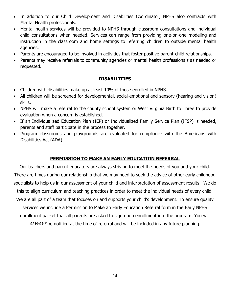- In addition to our Child Development and Disabilities Coordinator, NPHS also contracts with Mental Health professionals.
- Mental health services will be provided to NPHS through classroom consultations and individual child consultations when needed. Services can range from providing one-on-one modeling and instruction in the classroom and home settings to referring children to outside mental health agencies.
- Parents are encouraged to be involved in activities that foster positive parent-child relationships.
- Parents may receive referrals to community agencies or mental health professionals as needed or requested.

## **DISABILITIES**

- Children with disabilities make up at least 10% of those enrolled in NPHS.
- All children will be screened for developmental, social-emotional and sensory (hearing and vision) skills.
- NPHS will make a referral to the county school system or West Virginia Birth to Three to provide evaluation when a concern is established.
- If an Individualized Education Plan (IEP) or Individualized Family Service Plan (IFSP) is needed, parents and staff participate in the process together.
- Program classrooms and playgrounds are evaluated for compliance with the Americans with Disabilities Act (ADA).

## **PERMISSION TO MAKE AN EARLY EDUCATION REFERRAL**

Our teachers and parent educators are always striving to meet the needs of you and your child. There are times during our relationship that we may need to seek the advice of other early childhood specialists to help us in our assessment of your child and interpretation of assessment results. We do this to align curriculum and teaching practices in order to meet the individual needs of every child. We are all part of a team that focuses on and supports your child's development. To ensure quality services we include a Permission to Make an Early Education Referral form in the Early NPHS enrollment packet that all parents are asked to sign upon enrollment into the program. You will ALWAYS be notified at the time of referral and will be included in any future planning.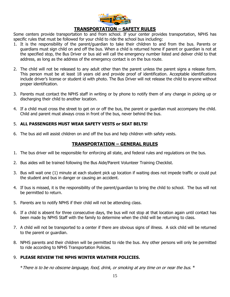

#### **TRANSPORTATION – SAFETY RULES**

Some centers provide transportation to and from school. If your center provides transportation, NPHS has specific rules that must be followed for your child to ride the school bus including:

- 1. It is the responsibility of the parent/guardian to take their children to and from the bus. Parents or guardians must sign child on and off the bus. When a child is returned home if parent or guardian is not at the specified stop, the Bus Driver or bus aid will call the emergency number listed and deliver child to that address, as long as the address of the emergency contact is on the bus route.
- 2. The child will not be released to any adult other than the parent unless the parent signs a release form. This person must be at least 18 years old and provide proof of identification. Acceptable identifications include driver's license or student id with photo. The Bus Driver will not release the child to anyone without proper identification.
- 3. Parents must contact the NPHS staff in writing or by phone to notify them of any change in picking up or discharging their child to another location.
- 4. If a child must cross the street to get on or off the bus, the parent or guardian must accompany the child. Child and parent must always cross in front of the bus, never behind the bus.

#### 5. **ALL PASSENGERS MUST WEAR SAFETY VESTS or SEAT BELTS!**

6. The bus aid will assist children on and off the bus and help children with safety vests.

## **TRANSPORTATION – GENERAL RULES**

- 1. The bus driver will be responsible for enforcing all state, and federal rules and regulations on the bus.
- 2. Bus aides will be trained following the Bus Aide/Parent Volunteer Training Checklist.
- 3. Bus will wait one (1) minute at each student pick up location if waiting does not impede traffic or could put the student and bus in danger or causing an accident.
- 4. If bus is missed, it is the responsibility of the parent/guardian to bring the child to school. The bus will not be permitted to return.
- 5. Parents are to notify NPHS if their child will not be attending class.
- 6. If a child is absent for three consecutive days, the bus will not stop at that location again until contact has been made by NPHS Staff with the family to determine when the child will be returning to class.
- 7. A child will not be transported to a center if there are obvious signs of illness. A sick child will be returned to the parent or guardian.
- 8. NPHS parents and their children will be permitted to ride the bus. Any other persons will only be permitted to ride according to NPHS Transportation Policies.

#### 9. **PLEASE REVIEW THE NPHS WINTER WEATHER POLICIES.**

\*There is to be no obscene language, food, drink, or smoking at any time on or near the bus. \*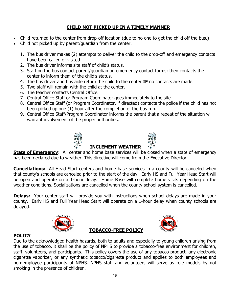# **CHILD NOT PICKED UP IN A TIMELY MANNER**

- Child returned to the center from drop-off location (due to no one to get the child off the bus.)
- Child not picked up by parent/guardian from the center.
	- 1. The bus driver makes (2) attempts to deliver the child to the drop-off and emergency contacts have been called or visited.
	- 2. The bus driver informs site staff of child's status.
	- 3. Staff on the bus contact parent/guardian on emergency contact forms; then contacts the center to inform them of the child's status.
	- 4. The bus driver and bus aide return the child to the center **IF** no contacts are made.
	- 5. Two staff will remain with the child at the center.
	- 6. The teacher contacts Central Office.
	- 7. Central Office Staff or Program Coordinator goes immediately to the site.
	- 8. Central Office Staff (or Program Coordinator, if directed) contacts the police if the child has not been picked up one (1) hour after the completion of the bus run.
	- 9. Central Office Staff/Program Coordinator informs the parent that a repeat of the situation will warrant involvement of the proper authorities.





# **INCLEMENT WEATHER**

**State of Emergency**: All center and home base services will be closed when a state of emergency has been declared due to weather. This directive will come from the Executive Director.

**Cancellations:** All Head Start centers and home base services in a county will be canceled when that county's schools are canceled prior to the start of the day. Early HS and Full Year Head Start will be open and operate on a 1-hour delay. Home Base will complete home visits depending on the weather conditions. Socializations are cancelled when the county school system is cancelled.

**Delays:** Your center staff will provide you with instructions when school delays are made in your county. Early HS and Full Year Head Start will operate on a 1-hour delay when county schools are delayed.





# **POLICY**

Due to the acknowledged health hazards, both to adults and especially to young children arising from the use of tobacco, it shall be the policy of NPHS to provide a tobacco-free environment for children, staff, volunteers, and participants. This policy covers the use of any tobacco product, any electronic cigarette vaporizer, or any synthetic tobacco/cigarette product and applies to both employees and non-employee participants of NPHS. NPHS staff and volunteers will serve as role models by not smoking in the presence of children.

**TOBACCO-FREE POLICY**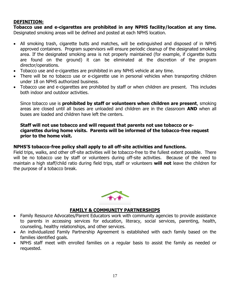## **DEFINITION:**

**Tobacco use and e-cigarettes are prohibited in any NPHS facility/location at any time.**  Designated smoking areas will be defined and posted at each NPHS location.

- All smoking trash, cigarette butts and matches, will be extinguished and disposed of in NPHS approved containers. Program supervisors will ensure periodic cleanup of the designated smoking area. If the designated smoking area is not properly maintained (for example, if cigarette butts are found on the ground) it can be eliminated at the discretion of the program director/operations.
- Tobacco use and e-cigarettes are prohibited in any NPHS vehicle at any time.
- There will be no tobacco use or e-cigarette use in personal vehicles when transporting children under 18 on NPHS authorized business.
- Tobacco use and e-cigarettes are prohibited by staff or when children are present. This includes both indoor and outdoor activities.

Since tobacco use is **prohibited by staff or volunteers when children are present**, smoking areas are closed until all buses are unloaded and children are in the classroom **AND** when all buses are loaded and children have left the centers.

#### **Staff will not use tobacco and will request that parents not use tobacco or ecigarettes during home visits. Parents will be informed of the tobacco-free request prior to the home visit.**

#### **NPHS'S tobacco-free policy shall apply to all off-site activities and functions.**

Field trips, walks, and other off-site activities will be tobacco-free to the fullest extent possible. There will be no tobacco use by staff or volunteers during off-site activities. Because of the need to maintain a high staff/child ratio during field trips, staff or volunteers **will not** leave the children for the purpose of a tobacco break.



## **FAMILY & COMMUNITY PARTNERSHIPS**

- Family Resource Advocates/Parent Educators work with community agencies to provide assistance to parents in accessing services for education, literacy, social services, parenting, health, counseling, healthy relationships, and other services.
- An individualized Family Partnership Agreement is established with each family based on the families identified goals.
- NPHS staff meet with enrolled families on a regular basis to assist the family as needed or requested.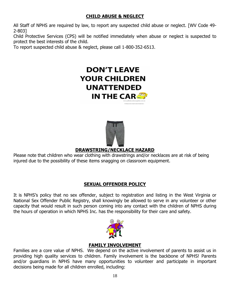# **CHILD ABUSE & NEGLECT**

All Staff of NPHS are required by law, to report any suspected child abuse or neglect. [WV Code 49- 2-803]

Child Protective Services (CPS) will be notified immediately when abuse or neglect is suspected to protect the best interests of the child.

To report suspected child abuse & neglect, please call 1-800-352-6513.





# **DRAWSTRING/NECKLACE HAZARD**

Please note that children who wear clothing with drawstrings and/or necklaces are at risk of being injured due to the possibility of these items snagging on classroom equipment.

# **SEXUAL OFFENDER POLICY**

It is NPHS's policy that no sex offender, subject to registration and listing in the West Virginia or National Sex Offender Public Registry, shall knowingly be allowed to serve in any volunteer or other capacity that would result in such person coming into any contact with the children of NPHS during the hours of operation in which NPHS Inc. has the responsibility for their care and safety.



# **FAMILY INVOLVEMENT**

Families are a core value of NPHS. We depend on the active involvement of parents to assist us in providing high quality services to children. Family involvement is the backbone of NPHS! Parents and/or guardians in NPHS have many opportunities to volunteer and participate in important decisions being made for all children enrolled, including: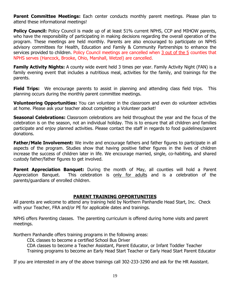**Parent Committee Meetings:** Each center conducts monthly parent meetings. Please plan to attend these informational meetings!

**Policy Council:** Policy Council is made up of at least 51% current NPHS, CCP and MIHOW parents, who have the responsibility of participating in making decisions regarding the overall operation of the program. These meetings are held monthly. Parents are also encouraged to participate on NPHS advisory committees for Health, Education and Family & Community Partnerships to enhance the services provided to children. Policy Council meetings are cancelled when 3 out of the 5 counties that NPHS serves (Hancock, Brooke, Ohio, Marshall, Wetzel) are cancelled.

**Family Activity Nights:** A county wide event held 3 times per year. Family Activity Night (FAN) is a family evening event that includes a nutritious meal, activities for the family, and trainings for the parents.

**Field Trips:** We encourage parents to assist in planning and attending class field trips. This planning occurs during the monthly parent committee meetings.

**Volunteering Opportunities:** You can volunteer in the classroom and even do volunteer activities at home. Please ask your teacher about completing a Volunteer packet!

**Seasonal Celebrations:** Classroom celebrations are held throughout the year and the focus of the celebration is on the season, not an individual holiday. This is to ensure that all children and families participate and enjoy planned activities. Please contact the staff in regards to food guidelines/parent donations.

**Father/Male Involvement:** We invite and encourage fathers and father figures to participate in all aspects of the program. Studies show that having positive father figures in the lives of children increase the success of children later in life. We encourage married, single, co-habiting, and shared custody father/father figures to get involved.

**Parent Appreciation Banquet:** During the month of May, all counties will hold a Parent Appreciation Banquet. This celebration is only for adults and is a celebration of the parents/guardians of enrolled children.

# **PARENT TRAINING OPPORTUNITIES**

All parents are welcome to attend any training held by Northern Panhandle Head Start, Inc. Check with your Teacher, FRA and/or PE for applicable dates and trainings.

NPHS offers Parenting classes. The parenting curriculum is offered during home visits and parent meetings.

Northern Panhandle offers training programs in the following areas:

CDL classes to become a certified School Bus Driver

CDA classes to become a Teacher Assistant, Parent Educator, or Infant Toddler Teacher Training programs to become an Early Head Start Teacher or Early Head Start Parent Educator

If you are interested in any of the above trainings call 302-233-3290 and ask for the HR Assistant.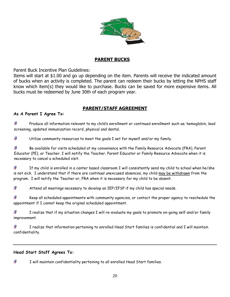

# **PARENT BUCKS**

Parent Buck Incentive Plan Guidelines:

Items will start at \$1.00 and go up depending on the item. Parents will receive the indicated amount of bucks when an activity is completed. The parent can redeem their bucks by letting the NPHS staff know which item(s) they would like to purchase. Bucks can be saved for more expensive items. All bucks must be redeemed by June 30th of each program year.

# **PARENT/STAFF AGREEMENT**

#### **As A Parent I Agree To:**

冊 Produce all information relevant to my child's enrollment or continued enrollment such as; hemoglobin, lead screening, updated immunization record, physical and dental.

 $\overline{d}$ Utilize community resources to meet the goals I set for myself and/or my family.

Æ Be available for visits scheduled at my convenience with the Family Resource Advocate (FRA), Parent Educator (PE), or Teacher. I will notify the Teacher, Parent Educator or Family Resource Advocate when it is necessary to cancel a scheduled visit.

A If my child is enrolled in a center based classroom I will consistently send my child to school when he/she is not sick. I understand that if there are continual unexcused absences, my child may be withdrawn from the program. I will notify the Teacher or, FRA when it is necessary for my child to be absent.

A Attend all meetings necessary to develop an IEP/IFSP if my child has special needs.

A Keep all scheduled appointments with community agencies, or contact the proper agency to reschedule the appointment if I cannot keep the original scheduled appointment.

Æ I realize that if my situation changes I will re-evaluate my goals to promote on-going self and/or family improvement.

A I realize that information pertaining to enrolled Head Start families is confidential and I will maintain confidentiality.

#### **Head Start Staff Agrees To:**

Æ I will maintain confidentiality pertaining to all enrolled Head Start families.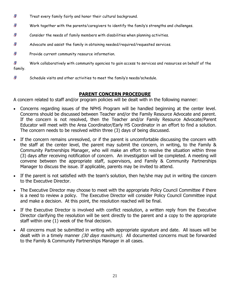- Ð Treat every family fairly and honor their cultural background.
- Ð Work together with the parents/caregivers to identify the family's strengths and challenges.
- Ð Consider the needs of family members with disabilities when planning activities.
- A Advocate and assist the family in obtaining needed/required/requested services.
- $\mathbf{F}$ Provide current community resource information.

8 Work collaboratively with community agencies to gain access to services and resources on behalf of the family.

Ð Schedule visits and other activities to meet the family's needs/schedule.

# **PARENT CONCERN PROCEDURE**

A concern related to staff and/or program policies will be dealt with in the following manner:

- Concerns regarding issues of the NPHS Program will be handled beginning at the center level. Concerns should be discussed between Teacher and/or the Family Resource Advocate and parent. If the concern is not resolved, then the Teacher and/or Family Resource Advocate/Parent Educator will meet with the Area Coordinator/Early HS Coordinator in an effort to find a solution. The concern needs to be resolved within three (3) days of being discussed.
- If the concern remains unresolved, or if the parent is uncomfortable discussing the concern with the staff at the center level, the parent may submit the concern, in writing, to the Family & Community Partnerships Manager, who will make an effort to resolve the situation within three (3) days after receiving notification of concern. An investigation will be completed. A meeting will convene between the appropriate staff, supervisors, and Family & Community Partnerships Manager to discuss the issue. If applicable, parents may be invited to attend.
- If the parent is not satisfied with the team's solution, then he/she may put in writing the concern to the Executive Director.
- The Executive Director may choose to meet with the appropriate Policy Council Committee if there is a need to review a policy. The Executive Director will consider Policy Council Committee input and make a decision. At this point, the resolution reached will be final.
- If the Executive Director is involved with conflict resolution, a written reply from the Executive Director clarifying the resolution will be sent directly to the parent and a copy to the appropriate staff within one (1) week of the final decision.
- All concerns must be submitted in writing with appropriate signature and date. All issues will be dealt with in a timely manner (30 days maximum). All documented concerns must be forwarded to the Family & Community Partnerships Manager in all cases.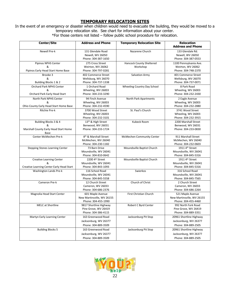#### **TEMPORARY RELOCATION SITES**

In the event of an emergency or disaster when children would need to evacuate the building, they would be moved to a temporary relocation site. See chart for information about your center. \*For those centers not listed – follow public school procedure for relocation.

| <b>Center/Site</b>                        | <b>Address and Phone</b>          | <b>Temporary Relocation Site</b> | <b>Relocation</b>           |
|-------------------------------------------|-----------------------------------|----------------------------------|-----------------------------|
|                                           |                                   |                                  | <b>Address and Phone</b>    |
| Newell Pre-k                              | 131 Glendale Road                 | Nazarene Church                  | 133 Glendale Rd.            |
|                                           | Newell, WV 26050                  |                                  | Newell, WV 26050            |
|                                           | Phone: 304-387-1650               |                                  | Phone: 304-387-0553         |
| Pipinos NPHS Center                       | 275 Cross Street                  | <b>Hancock County Sheltered</b>  | 1100 Pennsylvania Ave.      |
| &                                         | Weirton, WV 26062                 | Workshop                         | Weirton, WV 26062           |
| Pipinos Early Head Start Home Base        | Phone: 304-797-0281               |                                  | Phone: 304-748-2370         |
| Brooke 3                                  | 402 Commerce Street               | Salvation Army                   | 401 Commerce Street         |
| &                                         | Wellsburg, WV 26070               |                                  | Wellsburg, WV 26070         |
| Building Blocks 1 & 2                     | Phone: 304-737-1338               |                                  | Phone: 304-737-0071         |
| Orchard Park NPHS Center                  | 1 Orchard Road                    | Wheeling Country Day School      | 8 Park Road                 |
| &                                         | Wheeling, WV 26003                |                                  | Wheeling, WV 26003          |
| Orchard Park Early Head Start             | Phone: 304-233-3290               |                                  | Phone: 304-232-2430         |
| North Park NPHS Center                    | 94 Finch Avenue                   | North Park Apartments            | 2 Eagle Avenue              |
| &                                         | Wheeling, WV 26003                |                                  | Wheeling, WV 26003          |
| Ohio County Early Head Start Home Base    | Phone: 304-232-4590               |                                  | Phone: 304-232-2880         |
| <b>Ritchie Pre-k</b>                      | 3700 Wood Street                  | St. Paul's Church                | 3741 Wood Street            |
|                                           | Wheeling, WV 26003                |                                  | Wheeling, WV 26003          |
|                                           | Phone: 304-232-3101               |                                  | Phone: 304-232-3915         |
| Building Blocks 3 & 4                     | 13 <sup>th</sup> & High Street    | Kubeck Room                      | 2200 Marshall Street        |
| &                                         | Benwood, WV 26031                 |                                  | Benwood, WV 26031           |
| Marshall County Early Head Start Home     | Phone: 304-233-1724               |                                  | Phone: 304-233-0830         |
| Base                                      |                                   |                                  |                             |
| Center McMechen Pre-k                     | 8 <sup>th</sup> & Marshall Street | McMechen Community Center        | 911 Marshall Street         |
|                                           | McMechen, WV 26040                |                                  | McMechen, WV 26040          |
|                                           | Phone: 304-230-1182               |                                  | Phone: 304-232-0603         |
| <b>Stepping Stones Learning Center</b>    | 73 Barn Drive                     | Moundsville Baptist Church       | 1911 4th Street             |
|                                           | Moundsville, WV 26041             |                                  | Moundsville, WV 26041       |
|                                           | Phone: 304-810-0642               |                                  | Phone: 304-845-5316         |
| <b>Creative Learning Center</b>           | 2200 4th Street                   | Moundsville Baptist Church       | 1911 4 <sup>th</sup> Street |
| &                                         | Moundsville, WV 26041             |                                  | Moundsville, WV 26041       |
| Creative Learning Center Early Head Start | Phone: 304-843-1093               |                                  | Phone: 304-845-5316         |
| Washington Lands Pre-k                    | 116 School Road                   | Swierkos                         | 316 School Road             |
|                                           | Moundsville, WV 26041             |                                  | Moundsville, WV 26041       |
|                                           | Phone: 304-845-5558               |                                  | Phone: 304-845-7565         |
| Cameron Pre-k                             | 12 Church Street                  | Church of Christ                 | 2 Church Street             |
|                                           | Cameron, WV 26033                 |                                  | Cameron, WV 26033           |
|                                           | Phone: 304-686-2376               |                                  | Phone: 304-686-2264         |
| Magnolia Head Start Center                | 601 Maple Avenue                  | First Christian Church           | 521 Maple Avenue            |
|                                           | New Martinsville, WV 26155        |                                  | New Martinsville, WV 26155  |
|                                           | Phone: 304-455-1990               |                                  | Phone: 304-455-4460         |
| <b>MELC</b> at Shortline                  | 9817 Shortline Highway            | Robert C Byrd Center             | 992 North Fork Road         |
|                                           | Pine Grove, WV 26419              |                                  | Pine Grove, WV 26419        |
|                                           | Phone: 304-386-4115               |                                  | Phone: 304-889-3351         |
| Martyn Early Learning Center              | 163 Greenwood Road                | Jacksonburg Pit Stop             | 20961 Shortline Highway     |
|                                           | Jacksonburg, WV 26377             |                                  | Jacksonburg, WV 26377       |
|                                           | Phone: 304-889-3509               |                                  | Phone: 304-889-2505         |
| <b>Building Blocks 5</b>                  | 163 Greenwood Road                | Jacksonburg Pit Stop             | 20961 Shortline Highway     |
|                                           | Jacksonburg, WV 26377             |                                  | Jacksonburg, WV 26377       |
|                                           | Phone: 304-889-3509               |                                  | Phone: 304-889-2505         |
|                                           |                                   |                                  |                             |

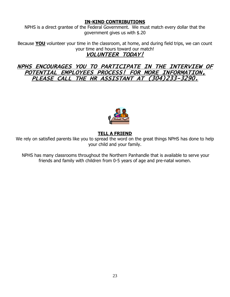# **IN-KIND CONTRIBUTIONS**

NPHS is a direct grantee of the Federal Government. We must match every dollar that the government gives us with \$.20

Because **YOU** volunteer your time in the classroom, at home, and during field trips, we can count your time and hours toward our match! VOLUNTEER TODAY!

NPHS ENCOURAGES YOU TO PARTICIPATE IN THE INTERVIEW OF POTENTIAL EMPLOYEES PROCESS! FOR MORE INFORMATION, PLEASE CALL THE HR ASSISTANT AT (304)233-3290.



# **TELL A FRIEND**

We rely on satisfied parents like you to spread the word on the great things NPHS has done to help your child and your family.

NPHS has many classrooms throughout the Northern Panhandle that is available to serve your friends and family with children from 0-5 years of age and pre-natal women.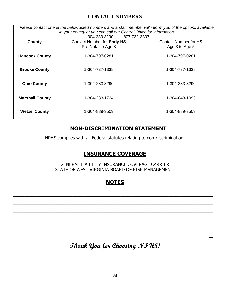# **CONTACT NUMBERS**

*Please contact one of the below listed numbers and a staff member will inform you of the options available in your county or you can call our Central Office for information*

| 1-304-233-3290 --- 1-877-732-3307 |                                    |                       |  |  |
|-----------------------------------|------------------------------------|-----------------------|--|--|
| County                            | <b>Contact Number for Early HS</b> | Contact Number for HS |  |  |
|                                   | Pre-Natal to Age 3                 | Age 3 to Age 5        |  |  |
| <b>Hancock County</b>             | 1-304-797-0281                     | 1-304-797-0281        |  |  |
| <b>Brooke County</b>              | 1-304-737-1338                     | 1-304-737-1338        |  |  |
| <b>Ohio County</b>                | 1-304-233-3290                     | 1-304-233-3290        |  |  |
| <b>Marshall County</b>            | 1-304-233-1724                     | 1-304-843-1093        |  |  |
| <b>Wetzel County</b>              | 1-304-889-3509                     | 1-304-889-3509        |  |  |

# **NON-DISCRIMINATION STATEMENT**

NPHS complies with all Federal statutes relating to non-discrimination.

# **INSURANCE COVERAGE**

GENERAL LIABILITY INSURANCE COVERAGE CARRIER STATE OF WEST VIRGINIA BOARD OF RISK MANAGEMENT.

# **NOTES**

 $\overline{\phantom{a}}$  , and the contribution of the contribution of the contribution of the contribution of the contribution of the contribution of the contribution of the contribution of the contribution of the contribution of the

 $\overline{\phantom{a}}$  , and the contribution of the contribution of the contribution of the contribution of the contribution of the contribution of the contribution of the contribution of the contribution of the contribution of the

 $\overline{\phantom{a}}$  , and the contribution of the contribution of the contribution of the contribution of the contribution of the contribution of the contribution of the contribution of the contribution of the contribution of the

 $\overline{\phantom{a}}$  , and the contribution of the contribution of the contribution of the contribution of the contribution of the contribution of the contribution of the contribution of the contribution of the contribution of the

 $\overline{\phantom{a}}$  , and the contribution of the contribution of the contribution of the contribution of the contribution of the contribution of the contribution of the contribution of the contribution of the contribution of the

 $\overline{\phantom{a}}$  , and the contribution of the contribution of the contribution of the contribution of the contribution of the contribution of the contribution of the contribution of the contribution of the contribution of the

**Thank You for Choosing NPHS!**